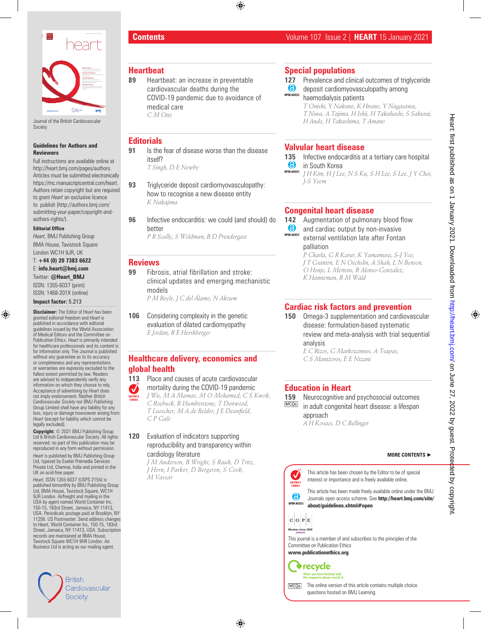

Journal of the British Cardiovascular Society

#### **Guidelines for Authors and Reviewers**

Full instructions are available online at http://heart.bmj.com/pages/authors. Articles must be submitted electronically https://mc.manuscriptcentral.com/heart. Authors retain copyright but are required to grant *Heart* an exclusive licence to publish (http://authors.bmj.com/ submitting-your-paper/copyright-andauthors-rights/).

#### **Editorial Office**

*Heart*, BMJ Publishing Group BMA House, Tavistock Square London WC1H 9JR, UK

T: **+44 (0) 20 7383 6622**  E: **info.heart@bmj.com** 

Twitter: **@Heart\_BMJ** ISSN: 1355-6037 (print)

ISSN: 1468-201X (online)

#### **Impact factor:** 5.213

**Disclaimer:** The Editor of *Heart* has been granted editorial freedom and *Heart* is published in accordance with editorial guidelines issued by the World Association of Medical Editors and the Committee on Publication Ethics. *Heart* is primarily intended for healthcare professionals and its content is for information only. The Journal is published without any guarantee as to its accuracy or completeness and any representations or warranties are expressly excluded to the fullest extent permitted by law. Readers are advised to independently verify any information on which they choose to rely. Acceptance of advertising by *Heart* does not imply endorsement. Neither *British Cardiovascular Society* nor BMJ Publishing Group Limited shall have any liability for any loss, injury or damage howsoever arising from *Heart* (except for liability which cannot be legally excluded).

**Copyright:** © 2021 BMJ Publishing Group Ltd & British Cardiovascular Society. All rights reserved; no part of this publication may be reproduced in any form without permission.

*Heart* is published by BMJ Publishing Group Ltd, typeset by Exeter Premedia Services Private Ltd, Chennai, India and printed in the UK on acid-free paper.

*Heart,* ISSN 1355-6037 (USPS 2154) is published bimonthly by BMJ Publishing Group Ltd, BMA House, Tavistock Square, WC1H 9JR London. Airfreight and mailing in the USA by agent named World Container Inc, 150-15, 183rd Street, Jamaica, NY 11413, USA. Periodicals postage paid at Brooklyn, NY 11256. US Postmaster: Send address changes to Heart, World Container Inc, 150-15, 183rd Street, Jamaica, NY 11413, USA. Subscription records are maintained at BMA House, Tavistock Square WC1H 9HR London. Air Business Ltd is acting as our mailing agent*.*



### **Contents** Volume 107 Issue 2 | **HEART** 15 January 2021

### **Heartbeat**

- **89** Heartbeat: an increase in preventable cardiovascular deaths during the COVID-19 pandemic due to avoidance of medical care *C M Otto*
- **Editorials**
- **91** Is the fear of disease worse than the disease itself?

*T Singh, D E Newby*

- **93** Triglyceride deposit cardiomyovasculopathy: how to recognise a new disease entity *K Nakajima*
- **96** Infective endocarditis: we could (and should) do better

*P R Scully, S Woldman, B D Prendergast*

### **Reviews**

- **99** Fibrosis, atrial fibrillation and stroke: clinical updates and emerging mechanistic models *P M Boyle, J C del Álamo, N Akoum*
- **106** Considering complexity in the genetic evaluation of dilated cardiomyopathy *E Jordan, R E Hershberger*

## **Healthcare delivery, economics and global health**

**113** Place and causes of acute cardiovascular mortality during the COVID-19 pandemic  $\boldsymbol{J}$ *J Wu, M A Mamas, M O Mohamed, C S Kwok, C Roebuck, B Humberstone, T Denwood, T Luescher, M A de Belder, J E Deanfield, C P Gale*

**120** Evaluation of indicators supporting reproducibility and transparency within cardiology literature

*J M Anderson, B Wright, S Rauh, D Tritz, J Horn, I Parker, D Bergeron, S Cook, M Vassar*

## **Special populations**

- **127** Prevalence and clinical outcomes of triglyceride
- $\bullet$ deposit cardiomyovasculopathy among **OPEN ACCESS**

haemodialysis patients *T Onishi, Y Nakano, K Hirano, Y Nagasawa, T Niwa, A Tajima, H Ishii, H Takahashi, S Sakurai, H Ando, H Takashima, T Amano*

## **Valvular heart disease**

**135** Infective endocarditis at a tertiary care hospital  $\bullet$ in South Korea

**OPEN ACCESS** *J H Kim, H J Lee, N S Ku, S H Lee, S Lee, J Y Choi, J-S Yeom*

# **Congenital heart disease**

- **142** Augmentation of pulmonary blood flow  $\bullet$
- and cardiac output by non-invasive OPEN ACCESS external ventilation late after Fontan palliation

*P Charla, G R Karur, K Yamamura, S-J Yoo, J T Granton, E N Oechslin, A Shah, L N Benson, O Honjo, L Mertens, R Alonso-Gonzalez, K Hanneman, R M Wald*

# **Cardiac risk factors and prevention**

**150** Omega-3 supplementation and cardiovascular disease: formulation-based systematic review and meta-analysis with trial sequential analysis

*E C Rizos, G Markozannes, A Tsapas, C S Mantzoros, E E Ntzani*

## **Education in Heart**

**159** Neurocognitive and psychosocial outcomes in adult congenital heart disease: a lifespan approach *A H Kovacs, D C Bellinger*

#### **MORE CONTENTS** ►

This article has been chosen by the Editor to be of special  $\checkmark$ interest or importance and is freely available online. EDITOR'S<br>CHOICE

This article has been made freely available online under the BMJ Journals open access scheme. See **http://heart.bmj.com/site/ OPEN ACCESS about/guidelines.xhtml#open**



க

This journal is a member of and subscribes to the principles of the Committee on Publication Ethics

**www.publicationethics.org**

 $\blacklozenge$  recycle



The online version of this article contains multiple choice **MCO<sub>S</sub>** questions hosted on BMJ Learning.